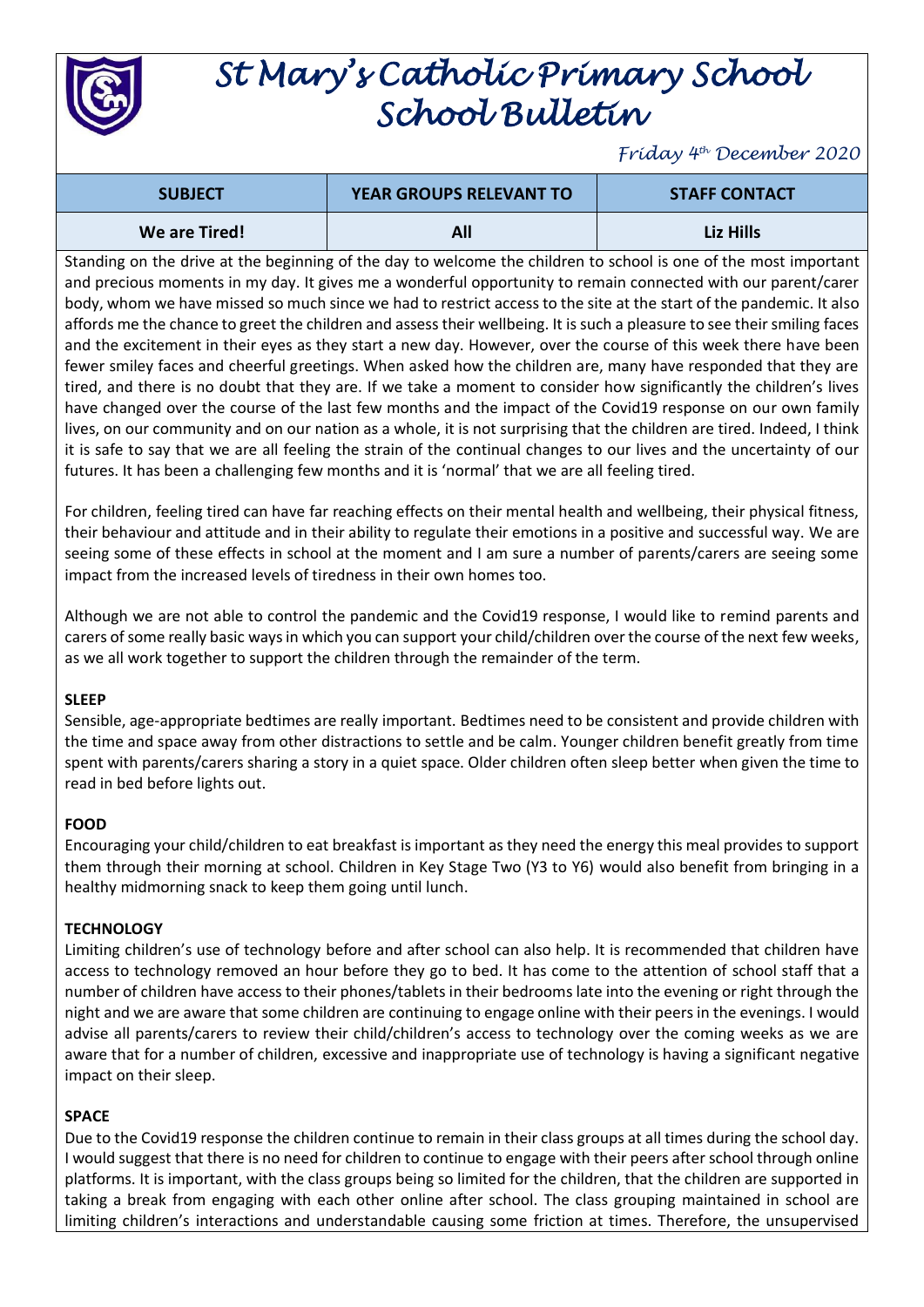

# *St Mary's Catholic Primary School School Bulletin*

*Friday 4 th December 2020*

| <b>SUBJECT</b> | <b>YEAR GROUPS RELEVANT TO</b> | <b>STAFF CONTACT</b> |
|----------------|--------------------------------|----------------------|
| We are Tired!  |                                | Liz Hills            |

Standing on the drive at the beginning of the day to welcome the children to school is one of the most important and precious moments in my day. It gives me a wonderful opportunity to remain connected with our parent/carer body, whom we have missed so much since we had to restrict access to the site at the start of the pandemic. It also affords me the chance to greet the children and assess their wellbeing. It is such a pleasure to see their smiling faces and the excitement in their eyes as they start a new day. However, over the course of this week there have been fewer smiley faces and cheerful greetings. When asked how the children are, many have responded that they are tired, and there is no doubt that they are. If we take a moment to consider how significantly the children's lives have changed over the course of the last few months and the impact of the Covid19 response on our own family lives, on our community and on our nation as a whole, it is not surprising that the children are tired. Indeed, I think it is safe to say that we are all feeling the strain of the continual changes to our lives and the uncertainty of our futures. It has been a challenging few months and it is 'normal' that we are all feeling tired.

For children, feeling tired can have far reaching effects on their mental health and wellbeing, their physical fitness, their behaviour and attitude and in their ability to regulate their emotions in a positive and successful way. We are seeing some of these effects in school at the moment and I am sure a number of parents/carers are seeing some impact from the increased levels of tiredness in their own homes too.

Although we are not able to control the pandemic and the Covid19 response, I would like to remind parents and carers of some really basic ways in which you can support your child/children over the course of the next few weeks, as we all work together to support the children through the remainder of the term.

#### **SLEEP**

Sensible, age-appropriate bedtimes are really important. Bedtimes need to be consistent and provide children with the time and space away from other distractions to settle and be calm. Younger children benefit greatly from time spent with parents/carers sharing a story in a quiet space. Older children often sleep better when given the time to read in bed before lights out.

#### **FOOD**

Encouraging your child/children to eat breakfast is important as they need the energy this meal provides to support them through their morning at school. Children in Key Stage Two (Y3 to Y6) would also benefit from bringing in a healthy midmorning snack to keep them going until lunch.

#### **TECHNOLOGY**

Limiting children's use of technology before and after school can also help. It is recommended that children have access to technology removed an hour before they go to bed. It has come to the attention of school staff that a number of children have access to their phones/tablets in their bedrooms late into the evening or right through the night and we are aware that some children are continuing to engage online with their peers in the evenings. I would advise all parents/carers to review their child/children's access to technology over the coming weeks as we are aware that for a number of children, excessive and inappropriate use of technology is having a significant negative impact on their sleep.

#### **SPACE**

Due to the Covid19 response the children continue to remain in their class groups at all times during the school day. I would suggest that there is no need for children to continue to engage with their peers after school through online platforms. It is important, with the class groups being so limited for the children, that the children are supported in taking a break from engaging with each other online after school. The class grouping maintained in school are limiting children's interactions and understandable causing some friction at times. Therefore, the unsupervised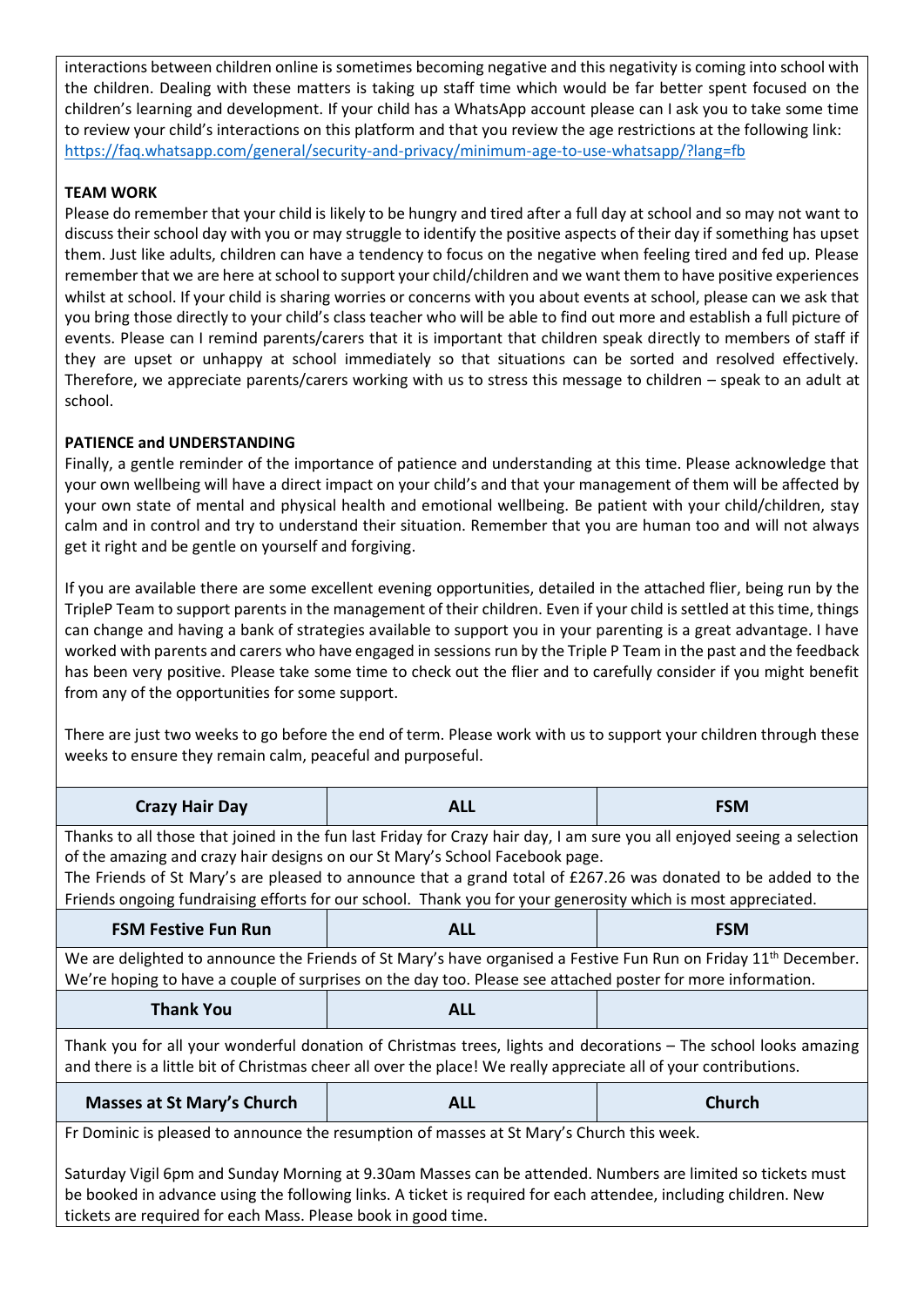interactions between children online is sometimes becoming negative and this negativity is coming into school with the children. Dealing with these matters is taking up staff time which would be far better spent focused on the children's learning and development. If your child has a WhatsApp account please can I ask you to take some time to review your child's interactions on this platform and that you review the age restrictions at the following link: <https://faq.whatsapp.com/general/security-and-privacy/minimum-age-to-use-whatsapp/?lang=fb>

## **TEAM WORK**

Please do remember that your child is likely to be hungry and tired after a full day at school and so may not want to discuss their school day with you or may struggle to identify the positive aspects of their day if something has upset them. Just like adults, children can have a tendency to focus on the negative when feeling tired and fed up. Please remember that we are here at school to support your child/children and we want them to have positive experiences whilst at school. If your child is sharing worries or concerns with you about events at school, please can we ask that you bring those directly to your child's class teacher who will be able to find out more and establish a full picture of events. Please can I remind parents/carers that it is important that children speak directly to members of staff if they are upset or unhappy at school immediately so that situations can be sorted and resolved effectively. Therefore, we appreciate parents/carers working with us to stress this message to children – speak to an adult at school.

### **PATIENCE and UNDERSTANDING**

Finally, a gentle reminder of the importance of patience and understanding at this time. Please acknowledge that your own wellbeing will have a direct impact on your child's and that your management of them will be affected by your own state of mental and physical health and emotional wellbeing. Be patient with your child/children, stay calm and in control and try to understand their situation. Remember that you are human too and will not always get it right and be gentle on yourself and forgiving.

If you are available there are some excellent evening opportunities, detailed in the attached flier, being run by the TripleP Team to support parents in the management of their children. Even if your child is settled at this time, things can change and having a bank of strategies available to support you in your parenting is a great advantage. I have worked with parents and carers who have engaged in sessions run by the Triple P Team in the past and the feedback has been very positive. Please take some time to check out the flier and to carefully consider if you might benefit from any of the opportunities for some support.

There are just two weeks to go before the end of term. Please work with us to support your children through these weeks to ensure they remain calm, peaceful and purposeful.

| <b>Crazy Hair Day</b>                                                                                                                                                                                                                                                                                                                                                                                                                    | <b>ALL</b> | <b>FSM</b>    |  |  |
|------------------------------------------------------------------------------------------------------------------------------------------------------------------------------------------------------------------------------------------------------------------------------------------------------------------------------------------------------------------------------------------------------------------------------------------|------------|---------------|--|--|
| Thanks to all those that joined in the fun last Friday for Crazy hair day, I am sure you all enjoyed seeing a selection<br>of the amazing and crazy hair designs on our St Mary's School Facebook page.<br>The Friends of St Mary's are pleased to announce that a grand total of £267.26 was donated to be added to the<br>Friends ongoing fundraising efforts for our school. Thank you for your generosity which is most appreciated. |            |               |  |  |
| <b>FSM Festive Fun Run</b>                                                                                                                                                                                                                                                                                                                                                                                                               | <b>ALL</b> | <b>FSM</b>    |  |  |
| We are delighted to announce the Friends of St Mary's have organised a Festive Fun Run on Friday 11 <sup>th</sup> December.<br>We're hoping to have a couple of surprises on the day too. Please see attached poster for more information.                                                                                                                                                                                               |            |               |  |  |
| <b>Thank You</b>                                                                                                                                                                                                                                                                                                                                                                                                                         | <b>ALL</b> |               |  |  |
| Thank you for all your wonderful donation of Christmas trees, lights and decorations - The school looks amazing<br>and there is a little bit of Christmas cheer all over the place! We really appreciate all of your contributions.                                                                                                                                                                                                      |            |               |  |  |
| <b>Masses at St Mary's Church</b>                                                                                                                                                                                                                                                                                                                                                                                                        | <b>ALL</b> | <b>Church</b> |  |  |
| Fr Dominic is pleased to announce the resumption of masses at St Mary's Church this week.                                                                                                                                                                                                                                                                                                                                                |            |               |  |  |
| Saturday Vigil 6pm and Sunday Morning at 9.30am Masses can be attended. Numbers are limited so tickets must                                                                                                                                                                                                                                                                                                                              |            |               |  |  |

be booked in advance using the following links. A ticket is required for each attendee, including children. New tickets are required for each Mass. Please book in good time.